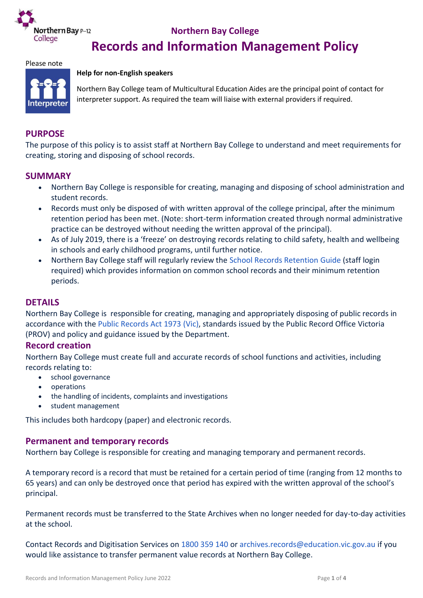

# **Records and Information Management Policy**

#### Please note



#### **Help for non-English speakers**

Northern Bay College team of Multicultural Education Aides are the principal point of contact for interpreter support. As required the team will liaise with external providers if required.

#### **PURPOSE**

The purpose of this policy is to assist staff at Northern Bay College to understand and meet requirements for creating, storing and disposing of school records.

#### **SUMMARY**

- Northern Bay College is responsible for creating, managing and disposing of school administration and student records.
- Records must only be disposed of with written approval of the college principal, after the minimum retention period has been met. (Note: short-term information created through normal administrative practice can be destroyed without needing the written approval of the principal).
- As of July 2019, there is a 'freeze' on destroying records relating to child safety, health and wellbeing in schools and early childhood programs, until further notice.
- Northern Bay College staff will regularly review the [School Records Retention](https://edugate.eduweb.vic.gov.au/edrms/KISTeam/RMPolicies/School_Records_Retention_Guide/School%20Records%20Retention%20Guide.xlsx) Guide (staff login required) which provides information on common school records and their minimum retention periods.

## **DETAILS**

Northern Bay College is responsible for creating, managing and appropriately disposing of public records in accordance with the [Public Records Act 1973](https://www.legislation.vic.gov.au/in-force/acts/public-records-act-1973) (Vic), standards issued by the Public Record Office Victoria (PROV) and policy and guidance issued by the Department.

#### **Record creation**

Northern Bay College must create full and accurate records of school functions and activities, including records relating to:

- school governance
- operations
- the handling of incidents, complaints and investigations
- student management

This includes both hardcopy (paper) and electronic records.

#### **Permanent and temporary records**

Northern bay College is responsible for creating and managing temporary and permanent records.

A temporary record is a record that must be retained for a certain period of time (ranging from 12 months to 65 years) and can only be destroyed once that period has expired with the written approval of the school's principal.

Permanent records must be transferred to the State Archives when no longer needed for day-to-day activities at the school.

Contact Records and Digitisation Services on [1800 359 140](tel:1800359140) or [archives.records@education.vic.gov.au](mailto:archives.records@education.vic.gov.au) if you would like assistance to transfer permanent value records at Northern Bay College.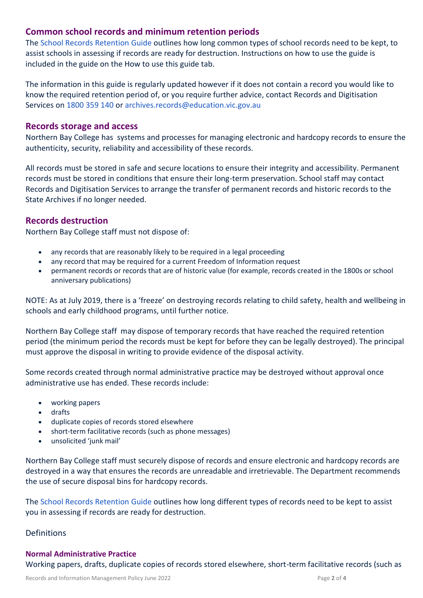# **Common school records and minimum retention periods**

The [School Records Retention](https://edugate.eduweb.vic.gov.au/edrms/KISTeam/RMPolicies/School_Records_Retention_Guide/School%20Records%20Retention%20Guide.xlsx) Guide outlines how long common types of school records need to be kept, to assist schools in assessing if records are ready for destruction. Instructions on how to use the guide is included in the guide on the How to use this guide tab.

The information in this guide is regularly updated however if it does not contain a record you would like to know the required retention period of, or you require further advice, contact Records and Digitisation Services on [1800 359 140](tel:1800359140) or [archives.records@education.vic.gov.au](mailto:archives.records@education.vic.gov.au)

## **Records storage and access**

Northern Bay College has systems and processes for managing electronic and hardcopy records to ensure the authenticity, security, reliability and accessibility of these records.

All records must be stored in safe and secure locations to ensure their integrity and accessibility. Permanent records must be stored in conditions that ensure their long-term preservation. School staff may contact Records and Digitisation Services to arrange the transfer of permanent records and historic records to the State Archives if no longer needed.

# **Records destruction**

Northern Bay College staff must not dispose of:

- any records that are reasonably likely to be required in a legal proceeding
- any record that may be required for a current Freedom of Information request
- permanent records or records that are of historic value (for example, records created in the 1800s or school anniversary publications)

NOTE: As at July 2019, there is a 'freeze' on destroying records relating to child safety, health and wellbeing in schools and early childhood programs, until further notice.

Northern Bay College staff may dispose of temporary records that have reached the required retention period (the minimum period the records must be kept for before they can be legally destroyed). The principal must approve the disposal in writing to provide evidence of the disposal activity.

Some records created through normal administrative practice may be destroyed without approval once administrative use has ended. These records include:

- working papers
- drafts
- duplicate copies of records stored elsewhere
- short-term facilitative records (such as phone messages)
- unsolicited 'junk mail'

Northern Bay College staff must securely dispose of records and ensure electronic and hardcopy records are destroyed in a way that ensures the records are unreadable and irretrievable. The Department recommends the use of secure disposal bins for hardcopy records.

The [School Records Retention](https://edugate.eduweb.vic.gov.au/edrms/KISTeam/RMPolicies/School_Records_Retention_Guide/School%20Records%20Retention%20Guide.xlsx) Guide outlines how long different types of records need to be kept to assist you in assessing if records are ready for destruction.

# **Definitions**

#### **Normal Administrative Practice**

Working papers, drafts, duplicate copies of records stored elsewhere, short-term facilitative records (such as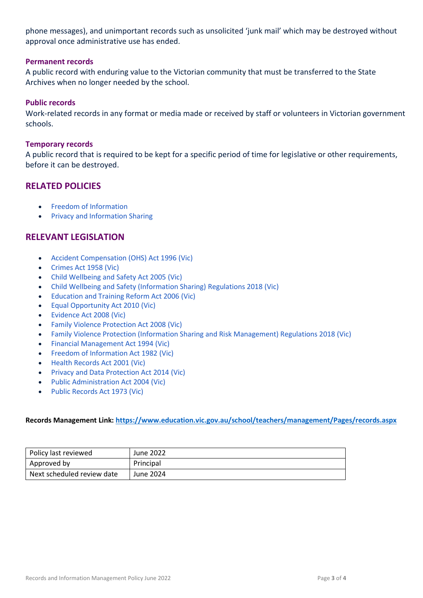phone messages), and unimportant records such as unsolicited 'junk mail' which may be destroyed without approval once administrative use has ended.

#### **Permanent records**

A public record with enduring value to the Victorian community that must be transferred to the State Archives when no longer needed by the school.

#### **Public records**

Work-related records in any format or media made or received by staff or volunteers in Victorian government schools.

#### **Temporary records**

A public record that is required to be kept for a specific period of time for legislative or other requirements, before it can be destroyed.

# **RELATED POLICIES**

- [Freedom of Information](https://www2.education.vic.gov.au/pal/freedom-of-information/policy)
- [Privacy and Information Sharing](https://www2.education.vic.gov.au/pal/privacy-information-sharing/policy)

# **RELEVANT LEGISLATION**

- [Accident Compensation \(OHS\) Act 1996](https://www.legislation.vic.gov.au/in-force/acts/accident-compensation-occupational-health-and-safety-act-1996) (Vic)
- [Crimes Act 1958](https://www.legislation.vic.gov.au/in-force/acts/crimes-act-1958) (Vic)
- [Child Wellbeing and Safety Act 2005](https://www.legislation.vic.gov.au/in-force/acts/child-wellbeing-and-safety-act-2005) (Vic)
- [Child Wellbeing and Safety \(Information Sharing\)](https://www.legislation.vic.gov.au/in-force/statutory-rules/child-wellbeing-and-safety-information-sharing-regulations-2018) Regulations 2018 (Vic)
- [Education and Training Reform Act 2006](https://www.legislation.vic.gov.au/in-force/acts/education-and-training-reform-act-2006) (Vic)
- [Equal Opportunity Act 2010](https://www.legislation.vic.gov.au/in-force/acts/equal-opportunity-act-2010) (Vic)
- [Evidence Act 2008](https://www.legislation.vic.gov.au/in-force/acts/evidence-act-2008) (Vic)
- [Family Violence Protection Act 2008](https://www.legislation.vic.gov.au/in-force/acts/family-violence-protection-act-2008) (Vic)
- [Family Violence Protection \(Information Sharing and Risk Management\) Regulations 2018](https://www.legislation.vic.gov.au/in-force/statutory-rules/family-violence-protection-information-sharing-and-risk-management) (Vic)
- [Financial Management Act 1994](https://www.legislation.vic.gov.au/in-force/acts/financial-management-act-1994) (Vic)
- [Freedom of Information Act 1982](https://www.legislation.vic.gov.au/in-force/acts/freedom-information-act-1982) (Vic)
- [Health Records Act 2001](https://www.legislation.vic.gov.au/in-force/acts/health-records-act-2001) (Vic)
- [Privacy and Data Protection Act 2014](https://www.legislation.vic.gov.au/in-force/acts/privacy-and-data-protection-act-2014) (Vic)
- [Public Administration Act 2004](https://www.legislation.vic.gov.au/in-force/acts/public-administration-act-2004) (Vic)
- [Public Records Act 1973](https://www.legislation.vic.gov.au/in-force/acts/public-records-act-1973) (Vic)

#### **Records Management Link:<https://www.education.vic.gov.au/school/teachers/management/Pages/records.aspx>**

| Policy last reviewed       | June 2022 |
|----------------------------|-----------|
| Approved by                | Principal |
| Next scheduled review date | June 2024 |